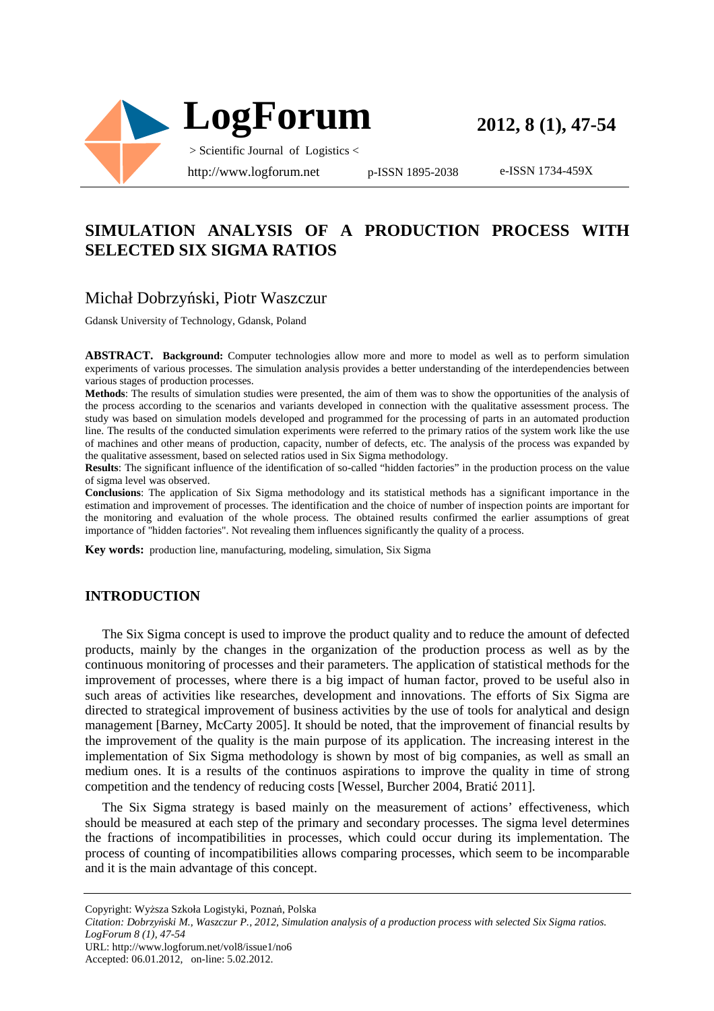

**2012, 8 (1), 47-54**

e-ISSN 1734-459X

## **SIMULATION ANALYSIS OF A PRODUCTION PROCESS WITH SELECTED SIX SIGMA RATIOS**

## Michał Dobrzyński, Piotr Waszczur

Gdansk University of Technology, Gdansk, Poland

**ABSTRACT. Background:** Computer technologies allow more and more to model as well as to perform simulation experiments of various processes. The simulation analysis provides a better understanding of the interdependencies between various stages of production processes.

**Methods**: The results of simulation studies were presented, the aim of them was to show the opportunities of the analysis of the process according to the scenarios and variants developed in connection with the qualitative assessment process. The study was based on simulation models developed and programmed for the processing of parts in an automated production line. The results of the conducted simulation experiments were referred to the primary ratios of the system work like the use of machines and other means of production, capacity, number of defects, etc. The analysis of the process was expanded by the qualitative assessment, based on selected ratios used in Six Sigma methodology.

**Results**: The significant influence of the identification of so-called "hidden factories" in the production process on the value of sigma level was observed.

**Conclusions**: The application of Six Sigma methodology and its statistical methods has a significant importance in the estimation and improvement of processes. The identification and the choice of number of inspection points are important for the monitoring and evaluation of the whole process. The obtained results confirmed the earlier assumptions of great importance of "hidden factories". Not revealing them influences significantly the quality of a process.

**Key words:** production line, manufacturing, modeling, simulation, Six Sigma

### **INTRODUCTION**

The Six Sigma concept is used to improve the product quality and to reduce the amount of defected products, mainly by the changes in the organization of the production process as well as by the continuous monitoring of processes and their parameters. The application of statistical methods for the improvement of processes, where there is a big impact of human factor, proved to be useful also in such areas of activities like researches, development and innovations. The efforts of Six Sigma are directed to strategical improvement of business activities by the use of tools for analytical and design management [Barney, McCarty 2005]. It should be noted, that the improvement of financial results by the improvement of the quality is the main purpose of its application. The increasing interest in the implementation of Six Sigma methodology is shown by most of big companies, as well as small an medium ones. It is a results of the continuos aspirations to improve the quality in time of strong competition and the tendency of reducing costs [Wessel, Burcher 2004, Bratić 2011].

The Six Sigma strategy is based mainly on the measurement of actions' effectiveness, which should be measured at each step of the primary and secondary processes. The sigma level determines the fractions of incompatibilities in processes, which could occur during its implementation. The process of counting of incompatibilities allows comparing processes, which seem to be incomparable and it is the main advantage of this concept.

Copyright: Wyższa Szkoła Logistyki, Poznań, Polska

*Citation: Dobrzyński M., Waszczur P., 2012, Simulation analysis of a production process with selected Six Sigma ratios. LogForum 8 (1), 47-54* 

URL: http://www.logforum.net/vol8/issue1/no6

Accepted: 06.01.2012, on-line: 5.02.2012.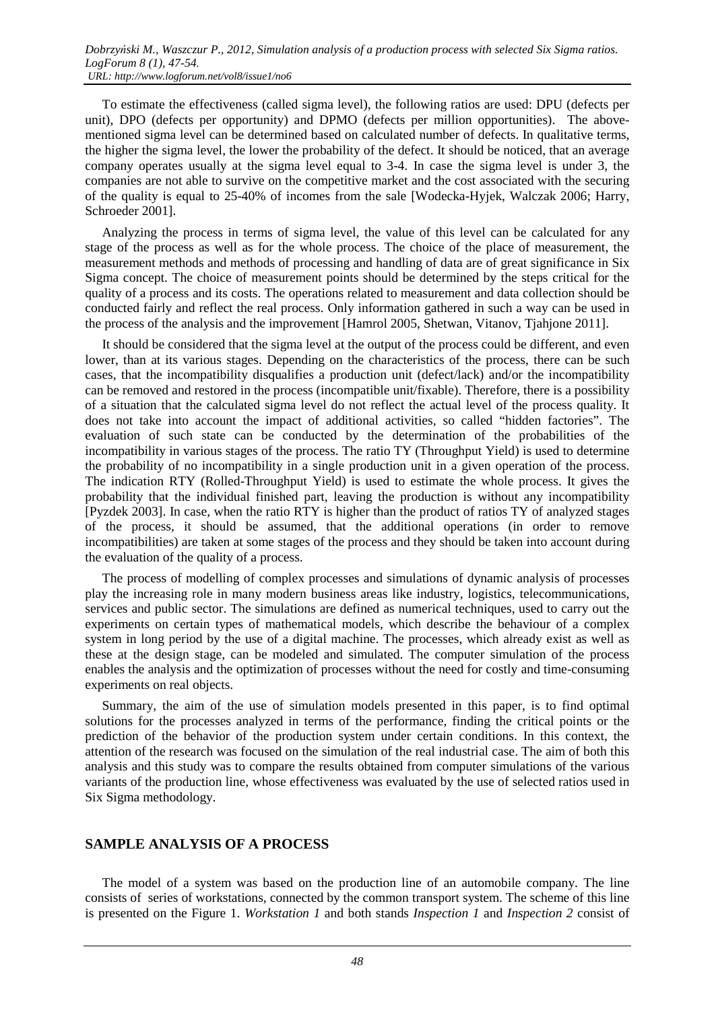To estimate the effectiveness (called sigma level), the following ratios are used: DPU (defects per unit), DPO (defects per opportunity) and DPMO (defects per million opportunities). The abovementioned sigma level can be determined based on calculated number of defects. In qualitative terms, the higher the sigma level, the lower the probability of the defect. It should be noticed, that an average company operates usually at the sigma level equal to 3-4. In case the sigma level is under 3, the companies are not able to survive on the competitive market and the cost associated with the securing of the quality is equal to 25-40% of incomes from the sale [Wodecka-Hyjek, Walczak 2006; Harry, Schroeder 2001].

Analyzing the process in terms of sigma level, the value of this level can be calculated for any stage of the process as well as for the whole process. The choice of the place of measurement, the measurement methods and methods of processing and handling of data are of great significance in Six Sigma concept. The choice of measurement points should be determined by the steps critical for the quality of a process and its costs. The operations related to measurement and data collection should be conducted fairly and reflect the real process. Only information gathered in such a way can be used in the process of the analysis and the improvement [Hamrol 2005, Shetwan, Vitanov, Tjahjone 2011].

It should be considered that the sigma level at the output of the process could be different, and even lower, than at its various stages. Depending on the characteristics of the process, there can be such cases, that the incompatibility disqualifies a production unit (defect/lack) and/or the incompatibility can be removed and restored in the process (incompatible unit/fixable). Therefore, there is a possibility of a situation that the calculated sigma level do not reflect the actual level of the process quality. It does not take into account the impact of additional activities, so called "hidden factories". The evaluation of such state can be conducted by the determination of the probabilities of the incompatibility in various stages of the process. The ratio TY (Throughput Yield) is used to determine the probability of no incompatibility in a single production unit in a given operation of the process. The indication RTY (Rolled-Throughput Yield) is used to estimate the whole process. It gives the probability that the individual finished part, leaving the production is without any incompatibility [Pyzdek 2003]. In case, when the ratio RTY is higher than the product of ratios TY of analyzed stages of the process, it should be assumed, that the additional operations (in order to remove incompatibilities) are taken at some stages of the process and they should be taken into account during the evaluation of the quality of a process.

The process of modelling of complex processes and simulations of dynamic analysis of processes play the increasing role in many modern business areas like industry, logistics, telecommunications, services and public sector. The simulations are defined as numerical techniques, used to carry out the experiments on certain types of mathematical models, which describe the behaviour of a complex system in long period by the use of a digital machine. The processes, which already exist as well as these at the design stage, can be modeled and simulated. The computer simulation of the process enables the analysis and the optimization of processes without the need for costly and time-consuming experiments on real objects.

Summary, the aim of the use of simulation models presented in this paper, is to find optimal solutions for the processes analyzed in terms of the performance, finding the critical points or the prediction of the behavior of the production system under certain conditions. In this context, the attention of the research was focused on the simulation of the real industrial case. The aim of both this analysis and this study was to compare the results obtained from computer simulations of the various variants of the production line, whose effectiveness was evaluated by the use of selected ratios used in Six Sigma methodology.

## **SAMPLE ANALYSIS OF A PROCESS**

The model of a system was based on the production line of an automobile company. The line consists of series of workstations, connected by the common transport system. The scheme of this line is presented on the Figure 1. *Workstation 1* and both stands *Inspection 1* and *Inspection 2* consist of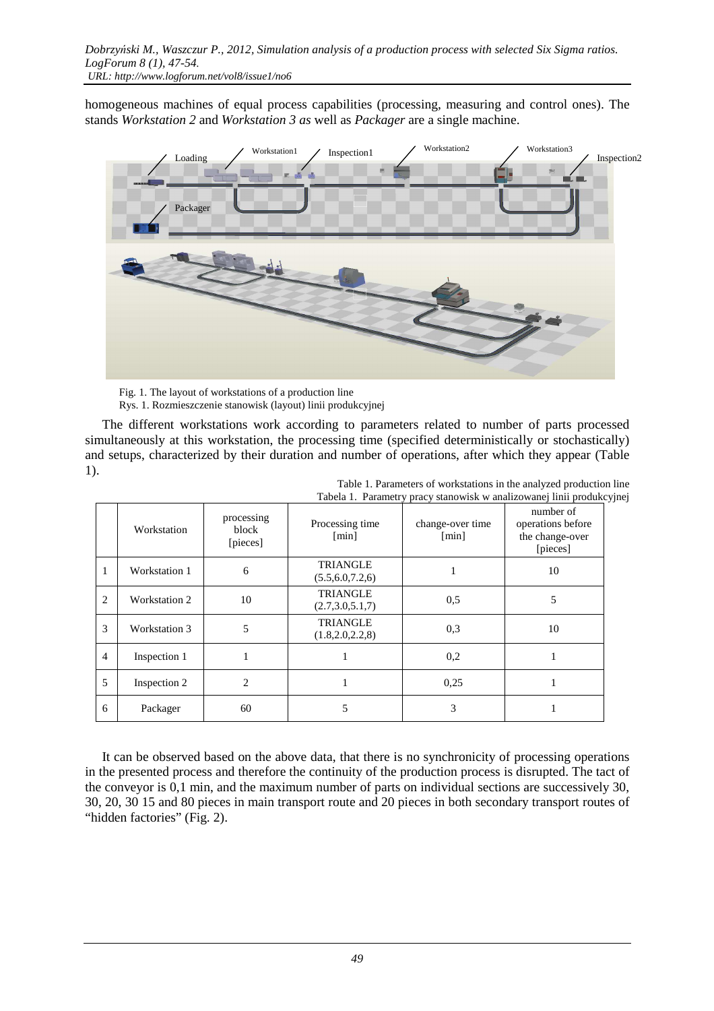homogeneous machines of equal process capabilities (processing, measuring and control ones). The stands *Workstation 2* and *Workstation 3 as* well as *Packager* are a single machine.



 Fig. 1. The layout of workstations of a production line Rys. 1. Rozmieszczenie stanowisk (layout) linii produkcyjnej

The different workstations work according to parameters related to number of parts processed simultaneously at this workstation, the processing time (specified deterministically or stochastically) and setups, characterized by their duration and number of operations, after which they appear (Table 1).

|                | Tabela 1. Parametry pracy stanowisk w analizowanej linii produkcyj |                                 |                                       |                           |                                                               |
|----------------|--------------------------------------------------------------------|---------------------------------|---------------------------------------|---------------------------|---------------------------------------------------------------|
|                | Workstation                                                        | processing<br>block<br>[pieces] | Processing time<br>[min]              | change-over time<br>[min] | number of<br>operations before<br>the change-over<br>[pieces] |
|                | Workstation 1                                                      | 6                               | <b>TRIANGLE</b><br>(5.5, 6.0, 7.2, 6) |                           | 10                                                            |
| $\overline{c}$ | Workstation 2                                                      | 10                              | <b>TRIANGLE</b><br>(2.7, 3.0, 5.1, 7) | 0,5                       | 5                                                             |
| 3              | Workstation 3                                                      | 5                               | <b>TRIANGLE</b><br>(1.8, 2.0, 2.2, 8) | 0.3                       | 10                                                            |
| $\overline{4}$ | Inspection 1                                                       |                                 |                                       | 0,2                       |                                                               |
| 5              | Inspection 2                                                       | $\mathfrak{D}$                  |                                       | 0.25                      |                                                               |
| 6              | Packager                                                           | 60                              | 5                                     | 3                         |                                                               |

Table 1. Parameters of workstations in the analyzed production line Tabela 1. Parametry pracy stanowisk w analizowanej linii produkcyjnej

It can be observed based on the above data, that there is no synchronicity of processing operations in the presented process and therefore the continuity of the production process is disrupted. The tact of the conveyor is 0,1 min, and the maximum number of parts on individual sections are successively 30, 30, 20, 30 15 and 80 pieces in main transport route and 20 pieces in both secondary transport routes of "hidden factories" (Fig. 2).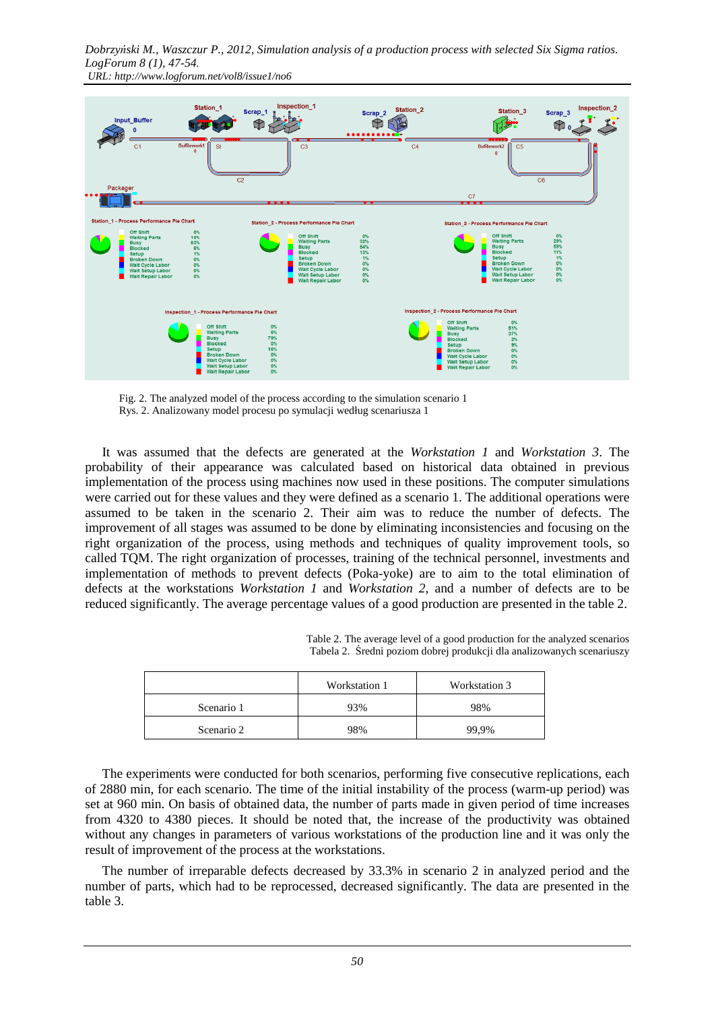*Dobrzyński M., Waszczur P., 2012, Simulation analysis of a production process with selected Six Sigma ratios. LogForum 8 (1), 47-54. URL: http://www.logforum.net/vol8/issue1/no6* 



 Fig. 2. The analyzed model of the process according to the simulation scenario 1 Rys. 2. Analizowany model procesu po symulacji według scenariusza 1

It was assumed that the defects are generated at the *Workstation 1* and *Workstation 3*. The probability of their appearance was calculated based on historical data obtained in previous implementation of the process using machines now used in these positions. The computer simulations were carried out for these values and they were defined as a scenario 1. The additional operations were assumed to be taken in the scenario 2. Their aim was to reduce the number of defects. The improvement of all stages was assumed to be done by eliminating inconsistencies and focusing on the right organization of the process, using methods and techniques of quality improvement tools, so called TQM. The right organization of processes, training of the technical personnel, investments and implementation of methods to prevent defects (Poka-yoke) are to aim to the total elimination of defects at the workstations *Workstation 1* and *Workstation 2*, and a number of defects are to be reduced significantly. The average percentage values of a good production are presented in the table 2.

> Table 2. The average level of a good production for the analyzed scenarios Tabela 2. Średni poziom dobrej produkcji dla analizowanych scenariuszy

|            | Workstation 1 | Workstation 3 |
|------------|---------------|---------------|
| Scenario 1 | 93%           | 98%           |
| Scenario 2 | 98%           | 99.9%         |

The experiments were conducted for both scenarios, performing five consecutive replications, each of 2880 min, for each scenario. The time of the initial instability of the process (warm-up period) was set at 960 min. On basis of obtained data, the number of parts made in given period of time increases from 4320 to 4380 pieces. It should be noted that, the increase of the productivity was obtained without any changes in parameters of various workstations of the production line and it was only the result of improvement of the process at the workstations.

The number of irreparable defects decreased by 33.3% in scenario 2 in analyzed period and the number of parts, which had to be reprocessed, decreased significantly. The data are presented in the table 3.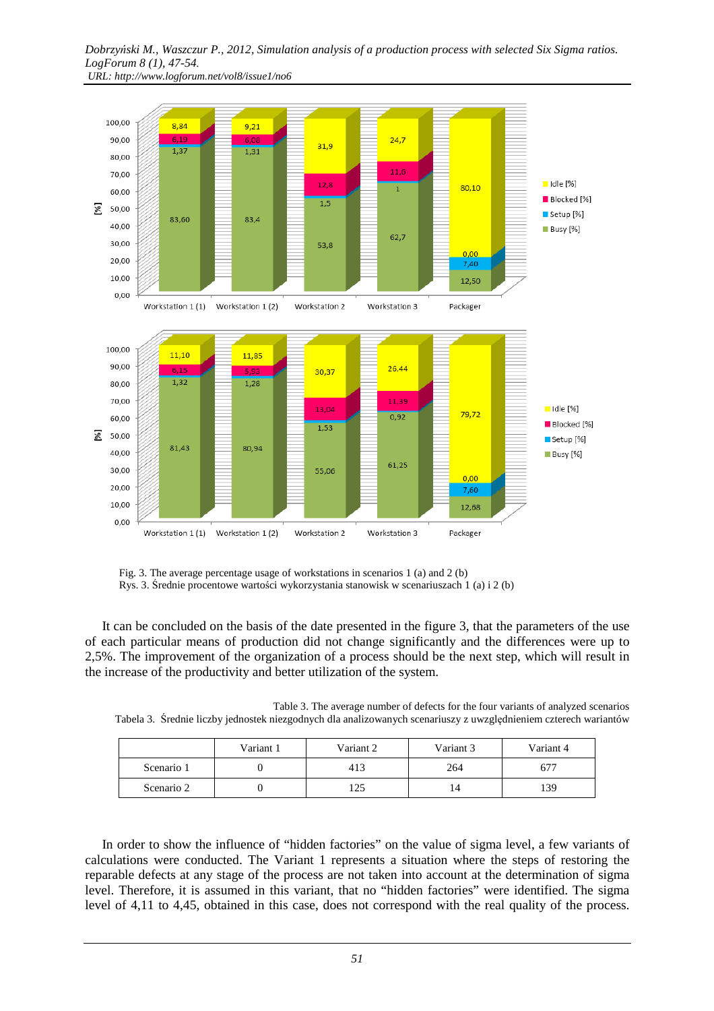#### *Dobrzyński M., Waszczur P., 2012, Simulation analysis of a production process with selected Six Sigma ratios. LogForum 8 (1), 47-54. URL: http://www.logforum.net/vol8/issue1/no6*



 Fig. 3. The average percentage usage of workstations in scenarios 1 (a) and 2 (b) Rys. 3. Średnie procentowe wartości wykorzystania stanowisk w scenariuszach 1 (a) i 2 (b)

It can be concluded on the basis of the date presented in the figure 3, that the parameters of the use of each particular means of production did not change significantly and the differences were up to 2,5%. The improvement of the organization of a process should be the next step, which will result in the increase of the productivity and better utilization of the system.

| Tabela 3. Srednie liczby jednostek niezgodnych dla analizowanych scenariuszy z uwzględnieniem czterech wariantów |           |           |           |           |  |
|------------------------------------------------------------------------------------------------------------------|-----------|-----------|-----------|-----------|--|
|                                                                                                                  | Variant 1 | Variant 2 | Variant 3 | Variant 4 |  |

Table 3. The average number of defects for the four variants of analyzed scenarios

|            | Variant 1 | Variant 2 | Variant 3 | Variant 4 |
|------------|-----------|-----------|-----------|-----------|
| Scenario 1 |           | 413       | 264       | 67.       |
| Scenario 2 |           | 125       | 14        | 139       |

In order to show the influence of "hidden factories" on the value of sigma level, a few variants of calculations were conducted. The Variant 1 represents a situation where the steps of restoring the reparable defects at any stage of the process are not taken into account at the determination of sigma level. Therefore, it is assumed in this variant, that no "hidden factories" were identified. The sigma level of 4,11 to 4,45, obtained in this case, does not correspond with the real quality of the process.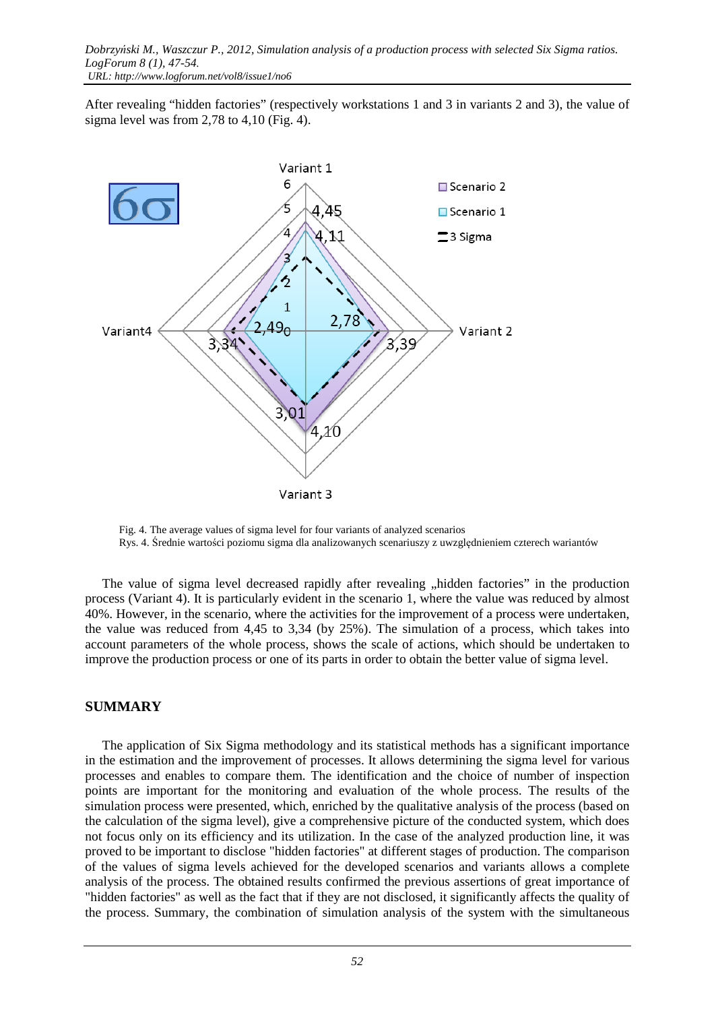After revealing "hidden factories" (respectively workstations 1 and 3 in variants 2 and 3), the value of sigma level was from 2,78 to 4,10 (Fig. 4).



 Fig. 4. The average values of sigma level for four variants of analyzed scenarios Rys. 4. Średnie wartości poziomu sigma dla analizowanych scenariuszy z uwzględnieniem czterech wariantów

The value of sigma level decreased rapidly after revealing "hidden factories" in the production process (Variant 4). It is particularly evident in the scenario 1, where the value was reduced by almost 40%. However, in the scenario, where the activities for the improvement of a process were undertaken, the value was reduced from 4,45 to 3,34 (by 25%). The simulation of a process, which takes into account parameters of the whole process, shows the scale of actions, which should be undertaken to improve the production process or one of its parts in order to obtain the better value of sigma level.

### **SUMMARY**

The application of Six Sigma methodology and its statistical methods has a significant importance in the estimation and the improvement of processes. It allows determining the sigma level for various processes and enables to compare them. The identification and the choice of number of inspection points are important for the monitoring and evaluation of the whole process. The results of the simulation process were presented, which, enriched by the qualitative analysis of the process (based on the calculation of the sigma level), give a comprehensive picture of the conducted system, which does not focus only on its efficiency and its utilization. In the case of the analyzed production line, it was proved to be important to disclose "hidden factories" at different stages of production. The comparison of the values of sigma levels achieved for the developed scenarios and variants allows a complete analysis of the process. The obtained results confirmed the previous assertions of great importance of "hidden factories" as well as the fact that if they are not disclosed, it significantly affects the quality of the process. Summary, the combination of simulation analysis of the system with the simultaneous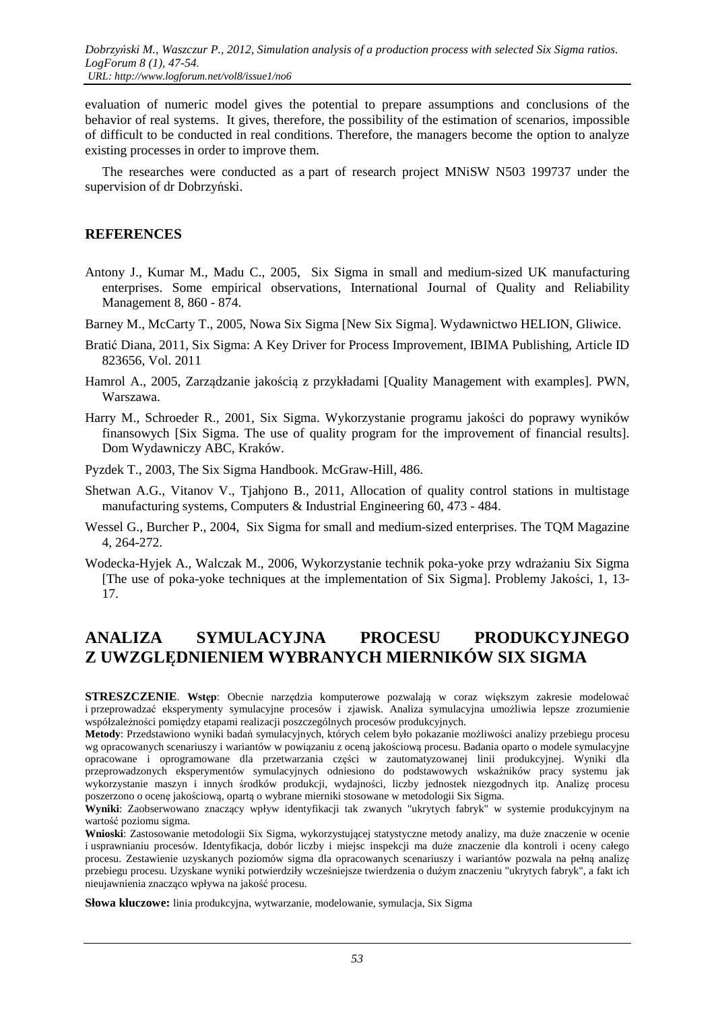evaluation of numeric model gives the potential to prepare assumptions and conclusions of the behavior of real systems. It gives, therefore, the possibility of the estimation of scenarios, impossible of difficult to be conducted in real conditions. Therefore, the managers become the option to analyze existing processes in order to improve them.

The researches were conducted as a part of research project MNiSW N503 199737 under the supervision of dr Dobrzyński.

### **REFERENCES**

- Antony J., Kumar M., Madu C., 2005, Six Sigma in small and medium-sized UK manufacturing enterprises. Some empirical observations, International Journal of Quality and Reliability Management 8, 860 - 874.
- Barney M., McCarty T., 2005, Nowa Six Sigma [New Six Sigma]. Wydawnictwo HELION, Gliwice.
- Bratić Diana, 2011, Six Sigma: A Key Driver for Process Improvement, IBIMA Publishing, Article ID 823656, Vol. 2011
- Hamrol A., 2005, Zarządzanie jakością z przykładami [Quality Management with examples]. PWN, Warszawa.
- Harry M., Schroeder R., 2001, Six Sigma. Wykorzystanie programu jakości do poprawy wyników finansowych [Six Sigma. The use of quality program for the improvement of financial results]. Dom Wydawniczy ABC, Kraków.
- Pyzdek T., 2003, The Six Sigma Handbook. McGraw-Hill, 486.
- Shetwan A.G., Vitanov V., Tjahjono B., 2011, Allocation of quality control stations in multistage manufacturing systems, Computers & Industrial Engineering 60, 473 - 484.
- Wessel G., Burcher P., 2004, Six Sigma for small and medium-sized enterprises. The TQM Magazine 4, 264-272.
- Wodecka-Hyjek A., Walczak M., 2006, Wykorzystanie technik poka-yoke przy wdrażaniu Six Sigma [The use of poka-yoke techniques at the implementation of Six Sigma]. Problemy Jakości, 1, 13- 17.

# **ANALIZA SYMULACYJNA PROCESU PRODUKCYJNEGO Z UWZGLĘDNIENIEM WYBRANYCH MIERNIKÓW SIX SIGMA**

**STRESZCZENIE**. **Wstęp**: Obecnie narzędzia komputerowe pozwalają w coraz większym zakresie modelować i przeprowadzać eksperymenty symulacyjne procesów i zjawisk. Analiza symulacyjna umożliwia lepsze zrozumienie współzależności pomiędzy etapami realizacji poszczególnych procesów produkcyjnych.

**Metody**: Przedstawiono wyniki badań symulacyjnych, których celem było pokazanie możliwości analizy przebiegu procesu wg opracowanych scenariuszy i wariantów w powiązaniu z oceną jakościową procesu. Badania oparto o modele symulacyjne opracowane i oprogramowane dla przetwarzania części w zautomatyzowanej linii produkcyjnej. Wyniki dla przeprowadzonych eksperymentów symulacyjnych odniesiono do podstawowych wskaźników pracy systemu jak wykorzystanie maszyn i innych środków produkcji, wydajności, liczby jednostek niezgodnych itp. Analizę procesu poszerzono o ocenę jakościową, opartą o wybrane mierniki stosowane w metodologii Six Sigma.

**Wyniki**: Zaobserwowano znaczący wpływ identyfikacji tak zwanych "ukrytych fabryk" w systemie produkcyjnym na wartość poziomu sigma.

**Wnioski**: Zastosowanie metodologii Six Sigma, wykorzystującej statystyczne metody analizy, ma duże znaczenie w ocenie i usprawnianiu procesów. Identyfikacja, dobór liczby i miejsc inspekcji ma duże znaczenie dla kontroli i oceny całego procesu. Zestawienie uzyskanych poziomów sigma dla opracowanych scenariuszy i wariantów pozwala na pełną analizę przebiegu procesu. Uzyskane wyniki potwierdziły wcześniejsze twierdzenia o dużym znaczeniu "ukrytych fabryk", a fakt ich nieujawnienia znacząco wpływa na jakość procesu.

**Słowa kluczowe:** linia produkcyjna, wytwarzanie, modelowanie, symulacja, Six Sigma